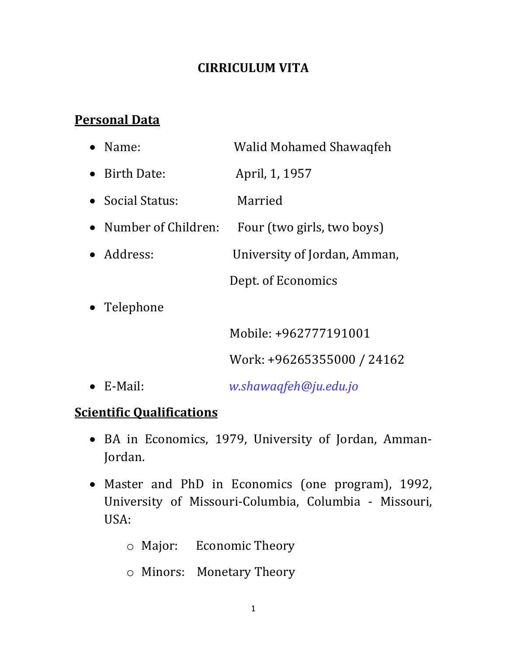## **CIRRICULUM VITA**

## **Personal Data**

| $\bullet$ Name:       | Walid Mohamed Shawaqfeh      |
|-----------------------|------------------------------|
| • Birth Date:         | April, 1, 1957               |
| • Social Status:      | Married                      |
| • Number of Children: | Four (two girls, two boys)   |
| • Address:            | University of Jordan, Amman, |
|                       | Dept. of Economics           |
| Telephone             |                              |
|                       | Mobile: +962777191001        |
|                       | Work: +96265355000 / 24162   |
|                       |                              |

E-Mail: *w.shawaqfeh@ju.edu.jo*

# **Scientific Qualifications**

- BA in Economics, 1979, University of Jordan, Amman-Jordan.
- Master and PhD in Economics (one program), 1992, University of Missouri-Columbia, Columbia - Missouri, USA:
	- o Major: Economic Theory
	- o Minors: Monetary Theory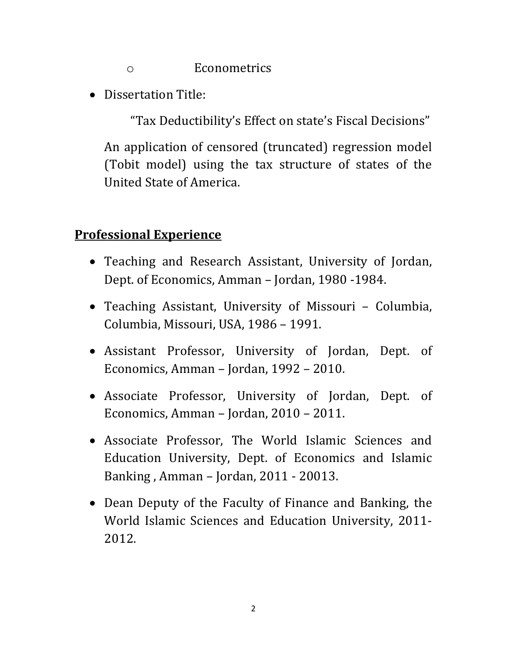o Econometrics

• Dissertation Title:

"Tax Deductibility's Effect on state's Fiscal Decisions"

An application of censored (truncated) regression model (Tobit model) using the tax structure of states of the United State of America.

#### **Professional Experience**

- Teaching and Research Assistant, University of Jordan, Dept. of Economics, Amman – Jordan, 1980 -1984.
- Teaching Assistant, University of Missouri Columbia, Columbia, Missouri, USA, 1986 – 1991.
- Assistant Professor, University of Jordan, Dept. of Economics, Amman – Jordan, 1992 – 2010.
- Associate Professor, University of Jordan, Dept. of Economics, Amman – Jordan, 2010 – 2011.
- Associate Professor, The World Islamic Sciences and Education University, Dept. of Economics and Islamic Banking , Amman – Jordan, 2011 - 20013.
- Dean Deputy of the Faculty of Finance and Banking, the World Islamic Sciences and Education University, 2011- 2012.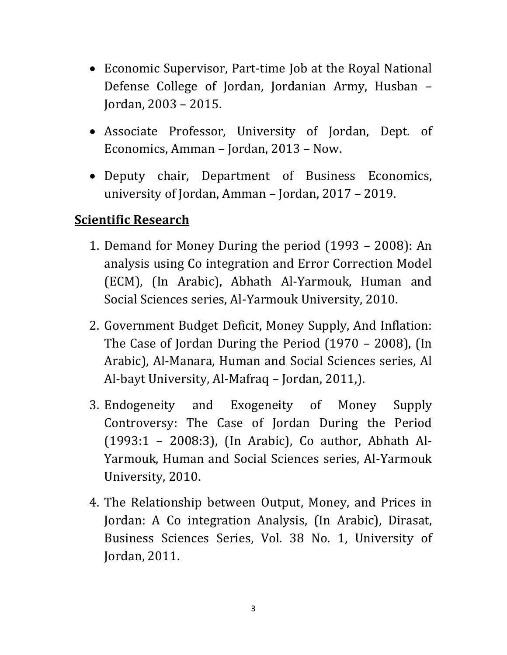- Economic Supervisor, Part-time Job at the Royal National Defense College of Jordan, Jordanian Army, Husban – Jordan, 2003 – 2015.
- Associate Professor, University of Jordan, Dept. of Economics, Amman – Jordan, 2013 – Now.
- Deputy chair, Department of Business Economics, university of Jordan, Amman – Jordan, 2017 – 2019.

## **Scientific Research**

- 1. Demand for Money During the period (1993 2008): An analysis using Co integration and Error Correction Model (ECM), (In Arabic), Abhath Al-Yarmouk, Human and Social Sciences series, Al-Yarmouk University, 2010.
- 2. Government Budget Deficit, Money Supply, And Inflation: The Case of Jordan During the Period (1970 – 2008), (In Arabic), Al-Manara, Human and Social Sciences series, Al Al-bayt University, Al-Mafraq – Jordan, 2011,).
- 3. Endogeneity and Exogeneity of Money Supply Controversy: The Case of Jordan During the Period (1993:1 – 2008:3), (In Arabic), Co author, Abhath Al-Yarmouk, Human and Social Sciences series, Al-Yarmouk University, 2010.
- 4. The Relationship between Output, Money, and Prices in Jordan: A Co integration Analysis, (In Arabic), Dirasat, Business Sciences Series, Vol. 38 No. 1, University of Jordan, 2011.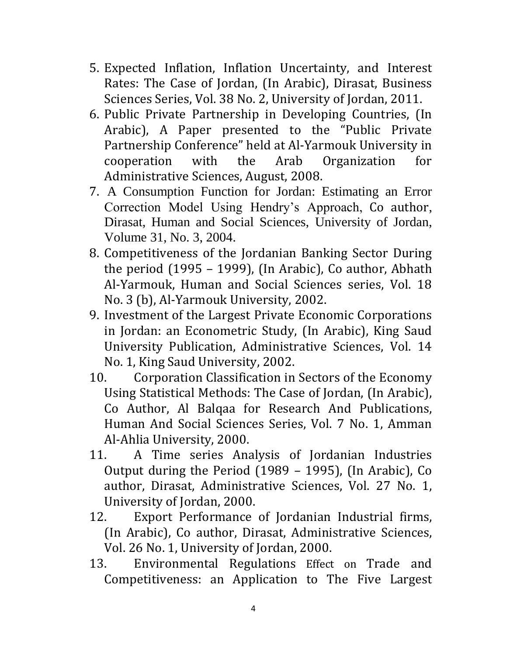- 5. Expected Inflation, Inflation Uncertainty, and Interest Rates: The Case of Jordan, (In Arabic), Dirasat, Business Sciences Series, Vol. 38 No. 2, University of Jordan, 2011.
- 6. Public Private Partnership in Developing Countries, (In Arabic), A Paper presented to the "Public Private Partnership Conference" held at Al-Yarmouk University in cooperation with the Arab Organization for Administrative Sciences, August, 2008.
- 7. A Consumption Function for Jordan: Estimating an Error Correction Model Using Hendry's Approach, Co author, Dirasat, Human and Social Sciences, University of Jordan, Volume 31, No. 3, 2004.
- 8. Competitiveness of the Jordanian Banking Sector During the period (1995 – 1999), (In Arabic), Co author, Abhath Al-Yarmouk, Human and Social Sciences series, Vol. 18 No. 3 (b), Al-Yarmouk University, 2002.
- 9. Investment of the Largest Private Economic Corporations in Jordan: an Econometric Study, (In Arabic), King Saud University Publication, Administrative Sciences, Vol. 14 No. 1, King Saud University, 2002.
- 10. Corporation Classification in Sectors of the Economy Using Statistical Methods: The Case of Jordan, (In Arabic), Co Author, Al Balqaa for Research And Publications, Human And Social Sciences Series, Vol. 7 No. 1, Amman Al-Ahlia University, 2000.
- 11. A Time series Analysis of Jordanian Industries Output during the Period (1989 – 1995), (In Arabic), Co author, Dirasat, Administrative Sciences, Vol. 27 No. 1, University of Jordan, 2000.
- 12. Export Performance of Jordanian Industrial firms, (In Arabic), Co author, Dirasat, Administrative Sciences, Vol. 26 No. 1, University of Jordan, 2000.
- 13. Environmental Regulations Effect on Trade and Competitiveness: an Application to The Five Largest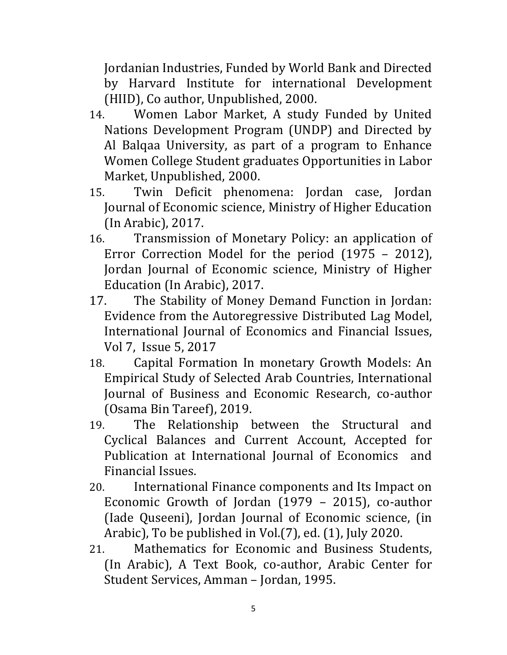Jordanian Industries, Funded by World Bank and Directed by Harvard Institute for international Development (HIID), Co author, Unpublished, 2000.

- 14. Women Labor Market, A study Funded by United Nations Development Program (UNDP) and Directed by Al Balqaa University, as part of a program to Enhance Women College Student graduates Opportunities in Labor Market, Unpublished, 2000.
- 15. Twin Deficit phenomena: Jordan case, Jordan Journal of Economic science, Ministry of Higher Education (In Arabic), 2017.
- 16. Transmission of Monetary Policy: an application of Error Correction Model for the period (1975 – 2012), Jordan Journal of Economic science, Ministry of Higher Education (In Arabic), 2017.
- 17. The Stability of Money Demand Function in Jordan: Evidence from the Autoregressive Distributed Lag Model, International Journal of Economics and Financial Issues, Vol 7, Issue 5, 2017
- 18. Capital Formation In monetary Growth Models: An Empirical Study of Selected Arab Countries, International Journal of Business and Economic Research, co-author (Osama Bin Tareef), 2019.
- 19. The Relationship between the Structural and Cyclical Balances and Current Account, Accepted for Publication at International Journal of Economics and Financial Issues.
- 20. International Finance components and Its Impact on Economic Growth of Jordan (1979 – 2015), co-author (Iade Quseeni), Jordan Journal of Economic science, (in Arabic), To be published in Vol.(7), ed. (1), July 2020.
- 21. Mathematics for Economic and Business Students, (In Arabic), A Text Book, co-author, Arabic Center for Student Services, Amman – Jordan, 1995.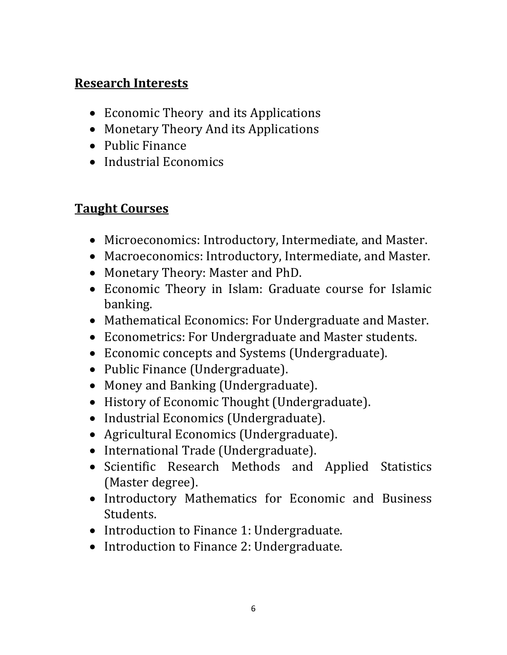# **Research Interests**

- Economic Theory and its Applications
- Monetary Theory And its Applications
- Public Finance
- Industrial Economics

# **Taught Courses**

- Microeconomics: Introductory, Intermediate, and Master.
- Macroeconomics: Introductory, Intermediate, and Master.
- Monetary Theory: Master and PhD.
- Economic Theory in Islam: Graduate course for Islamic banking.
- Mathematical Economics: For Undergraduate and Master.
- Econometrics: For Undergraduate and Master students.
- Economic concepts and Systems (Undergraduate).
- Public Finance (Undergraduate).
- Money and Banking (Undergraduate).
- History of Economic Thought (Undergraduate).
- Industrial Economics (Undergraduate).
- Agricultural Economics (Undergraduate).
- International Trade (Undergraduate).
- Scientific Research Methods and Applied Statistics (Master degree).
- Introductory Mathematics for Economic and Business Students.
- Introduction to Finance 1: Undergraduate.
- Introduction to Finance 2: Undergraduate.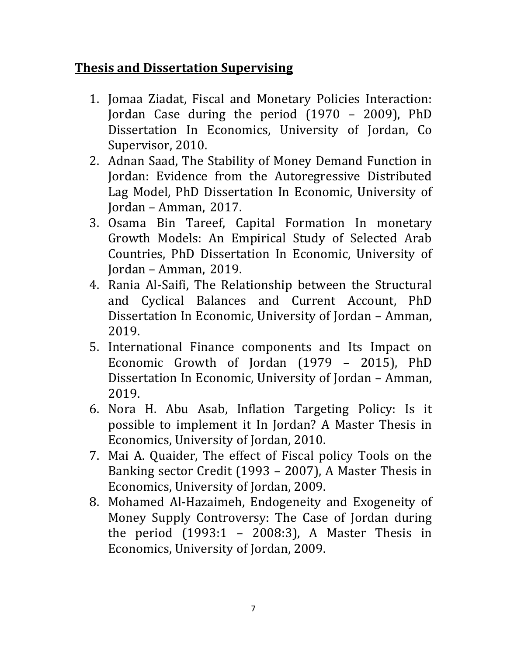#### **Thesis and Dissertation Supervising**

- 1. Jomaa Ziadat, Fiscal and Monetary Policies Interaction: Jordan Case during the period (1970 – 2009), PhD Dissertation In Economics, University of Jordan, Co Supervisor, 2010.
- 2. Adnan Saad, The Stability of Money Demand Function in Jordan: Evidence from the Autoregressive Distributed Lag Model, PhD Dissertation In Economic, University of Jordan – Amman, 2017.
- 3. Osama Bin Tareef, Capital Formation In monetary Growth Models: An Empirical Study of Selected Arab Countries, PhD Dissertation In Economic, University of Jordan – Amman, 2019.
- 4. Rania Al-Saifi, The Relationship between the Structural and Cyclical Balances and Current Account, PhD Dissertation In Economic, University of Jordan – Amman, 2019.
- 5. International Finance components and Its Impact on Economic Growth of Jordan (1979 – 2015), PhD Dissertation In Economic, University of Jordan – Amman, 2019.
- 6. Nora H. Abu Asab, Inflation Targeting Policy: Is it possible to implement it In Jordan? A Master Thesis in Economics, University of Jordan, 2010.
- 7. Mai A. Quaider, The effect of Fiscal policy Tools on the Banking sector Credit (1993 – 2007), A Master Thesis in Economics, University of Jordan, 2009.
- 8. Mohamed Al-Hazaimeh, Endogeneity and Exogeneity of Money Supply Controversy: The Case of Jordan during the period  $(1993:1 - 2008:3)$ , A Master Thesis in Economics, University of Jordan, 2009.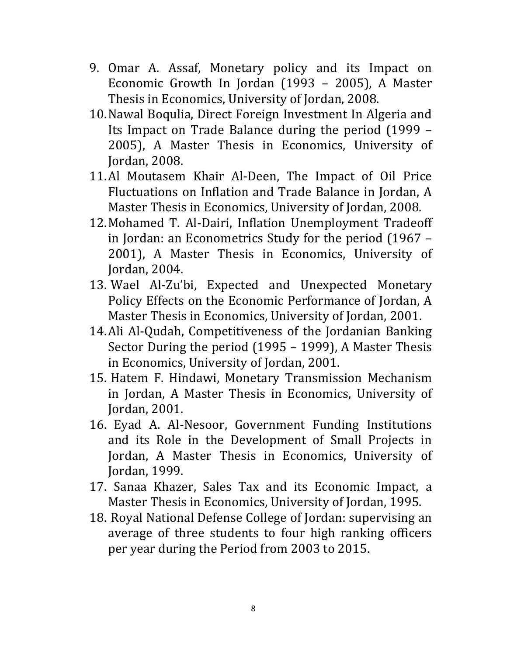- 9. Omar A. Assaf, Monetary policy and its Impact on Economic Growth In Jordan (1993 – 2005), A Master Thesis in Economics, University of Jordan, 2008.
- 10.Nawal Boqulia, Direct Foreign Investment In Algeria and Its Impact on Trade Balance during the period (1999 – 2005), A Master Thesis in Economics, University of Jordan, 2008.
- 11.Al Moutasem Khair Al-Deen, The Impact of Oil Price Fluctuations on Inflation and Trade Balance in Jordan, A Master Thesis in Economics, University of Jordan, 2008.
- 12.Mohamed T. Al-Dairi, Inflation Unemployment Tradeoff in Jordan: an Econometrics Study for the period (1967 – 2001), A Master Thesis in Economics, University of Jordan, 2004.
- 13. Wael Al-Zu'bi, Expected and Unexpected Monetary Policy Effects on the Economic Performance of Jordan, A Master Thesis in Economics, University of Jordan, 2001.
- 14.Ali Al-Qudah, Competitiveness of the Jordanian Banking Sector During the period (1995 – 1999), A Master Thesis in Economics, University of Jordan, 2001.
- 15. Hatem F. Hindawi, Monetary Transmission Mechanism in Jordan, A Master Thesis in Economics, University of Jordan, 2001.
- 16. Eyad A. Al-Nesoor, Government Funding Institutions and its Role in the Development of Small Projects in Jordan, A Master Thesis in Economics, University of Jordan, 1999.
- 17. Sanaa Khazer, Sales Tax and its Economic Impact, a Master Thesis in Economics, University of Jordan, 1995.
- 18. Royal National Defense College of Jordan: supervising an average of three students to four high ranking officers per year during the Period from 2003 to 2015.